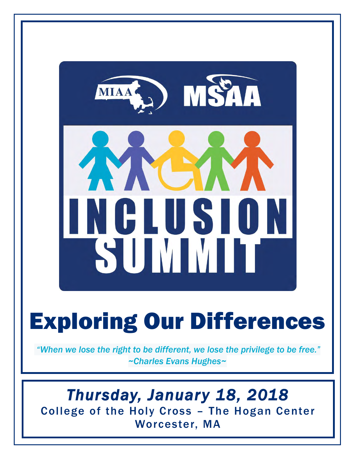

*Thursday, January 18, 2018*  College of the Holy Cross – The Hogan Center Worcester, MA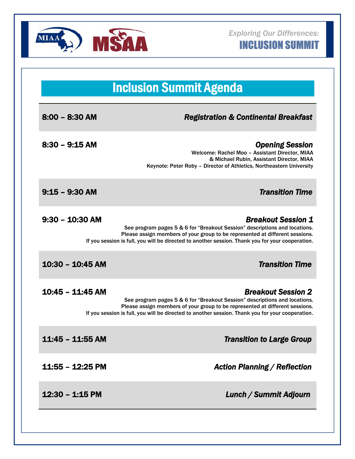

# Inclusion Summit Agenda

| $8:00 - 8:30$ AM   | <b>Registration &amp; Continental Breakfast</b>                                                                                                                                                                                                                                             |
|--------------------|---------------------------------------------------------------------------------------------------------------------------------------------------------------------------------------------------------------------------------------------------------------------------------------------|
| $8:30 - 9:15$ AM   | <b>Opening Session</b><br>Welcome: Rachel Moo - Assistant Director, MIAA<br>& Michael Rubin, Assistant Director, MIAA<br>Keynote: Peter Roby - Director of Athletics, Northeastern University                                                                                               |
| $9:15 - 9:30$ AM   | <b>Transition Time</b>                                                                                                                                                                                                                                                                      |
| $9:30 - 10:30$ AM  | <b>Breakout Session 1</b><br>See program pages 5 & 6 for "Breakout Session" descriptions and locations.<br>Please assign members of your group to be represented at different sessions.<br>If you session is full, you will be directed to another session. Thank you for your cooperation. |
| $10:30 - 10:45$ AM | <b>Transition Time</b>                                                                                                                                                                                                                                                                      |
| $10:45 - 11:45$ AM | <b>Breakout Session 2</b><br>See program pages 5 & 6 for "Breakout Session" descriptions and locations.<br>Please assign members of your group to be represented at different sessions.<br>If you session is full, you will be directed to another session. Thank you for your cooperation. |
| $11:45 - 11:55$ AM | <b>Transition to Large Group</b>                                                                                                                                                                                                                                                            |
| 11:55 – 12:25 PM   | <b>Action Planning / Reflection</b>                                                                                                                                                                                                                                                         |
| 12:30 - 1:15 PM    | <b>Lunch / Summit Adjourn</b>                                                                                                                                                                                                                                                               |
|                    |                                                                                                                                                                                                                                                                                             |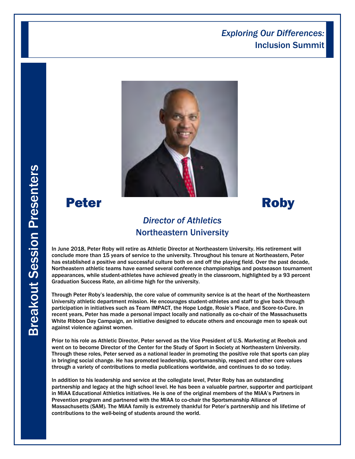

### *Director of Athletics*  Northeastern University

In June 2018, Peter Roby will retire as Athletic Director at Northeastern University. His retirement will conclude more than 15 years of service to the university. Throughout his tenure at Northeastern, Peter has established a positive and successful culture both on and off the playing field. Over the past decade, Northeastern athletic teams have earned several conference championships and postseason tournament appearances, while student-athletes have achieved greatly in the classroom, highlighted by a 93 percent Graduation Success Rate, an all-time high for the university.

Through Peter Roby's leadership, the core value of community service is at the heart of the Northeastern University athletic department mission. He encourages student-athletes and staff to give back through participation in initiatives such as Team IMPACT, the Hope Lodge, Rosie's Place, and Score-to-Cure. In recent years, Peter has made a personal impact locally and nationally as co-chair of the Massachusetts White Ribbon Day Campaign, an initiative designed to educate others and encourage men to speak out against violence against women.

Prior to his role as Athletic Director, Peter served as the Vice President of U.S. Marketing at Reebok and went on to become Director of the Center for the Study of Sport in Society at Northeastern University. Through these roles, Peter served as a national leader in promoting the positive role that sports can play in bringing social change. He has promoted leadership, sportsmanship, respect and other core values through a variety of contributions to media publications worldwide, and continues to do so today.

In addition to his leadership and service at the collegiate level, Peter Roby has an outstanding partnership and legacy at the high school level. He has been a valuable partner, supporter and participant in MIAA Educational Athletics initiatives. He is one of the original members of the MIAA's Partners in Prevention program and partnered with the MIAA to co-chair the Sportsmanship Alliance of Massachusetts (SAM). The MIAA family is extremely thankful for Peter's partnership and his lifetime of contributions to the well-being of students around the world.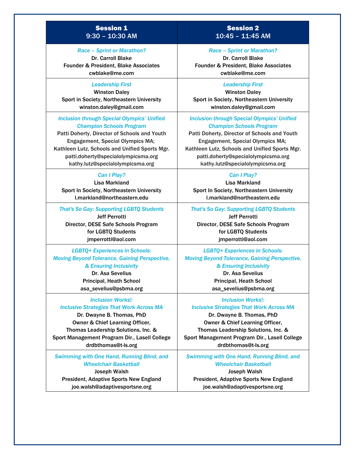#### Session 1 9:30 – 10:30 AM

#### *Race – Sprint or Marathon?*

Dr. Carroll Blake Founder & President, Blake Associates cwblake@me.com

#### *Leadership First*

Winston Daley Sport in Society, Northeastern University winston.daley@gmail.com

*Inclusion through Special Olympics' Unified Champion Schools Program*

Patti Doherty, Director of Schools and Youth Engagement, Special Olympics MA; Kathleen Lutz, Schools and Unified Sports Mgr. patti.doherty@specialolympicsma.org kathy.lutz@specialolympicsma.org

#### *Can I Play?*

Lisa Markland Sport In Society, Northeastern University l.markland@northeastern.edu

*That's So Gay: Supporting LGBTQ Students* Jeff Perrotti Director, DESE Safe Schools Program for LGBTQ Students jmperrotti@aol.com

*LGBTQ+ Experiences in Schools: Moving Beyond Tolerance, Gaining Perspective, & Ensuring Inclusivity*

Dr. Asa Sevelius Principal, Heath School asa\_sevelius@psbma.org

#### *Inclusion Works!:*

#### *Inclusive Strategies That Work Across MA*

Dr. Dwayne B. Thomas, PhD Owner & Chief Learning Officer, Thomas Leadership Solutions, Inc. & Sport Management Program Dir., Lasell College drdbthomas@t-ls.org

*Swimming with One Hand, Running Blind, and Wheelchair Basketball* Joseph Walsh President, Adaptive Sports New England

joe.walsh@adaptivesportsne.org

#### Session 2 10:45 – 11:45 AM

*Race – Sprint or Marathon?* Dr. Carroll Blake Founder & President, Blake Associates cwblake@me.com

#### *Leadership First*

Winston Daley Sport in Society, Northeastern University winston.daley@gmail.com

#### *Inclusion through Special Olympics' Unified Champion Schools Program*

Patti Doherty, Director of Schools and Youth Engagement, Special Olympics MA; Kathleen Lutz, Schools and Unified Sports Mgr. patti.doherty@specialolympicsma.org kathy.lutz@specialolympicsma.org

#### *Can I Play?*

Lisa Markland Sport In Society, Northeastern University l.markland@northeastern.edu

*That's So Gay: Supporting LGBTQ Students* Jeff Perrotti Director, DESE Safe Schools Program for LGBTQ Students jmperrotti@aol.com

*LGBTQ+ Experiences in Schools: Moving Beyond Tolerance, Gaining Perspective, & Ensuring Inclusivity*

Dr. Asa Sevelius Principal, Heath School asa\_sevelius@psbma.org

#### *Inclusion Works!: Inclusive Strategies That Work Across MA*

Dr. Dwayne B. Thomas, PhD Owner & Chief Learning Officer, Thomas Leadership Solutions, Inc. & Sport Management Program Dir., Lasell College drdbthomas@t-ls.org

*Swimming with One Hand, Running Blind, and Wheelchair Basketball* Joseph Walsh President, Adaptive Sports New England joe.walsh@adaptivesportsne.org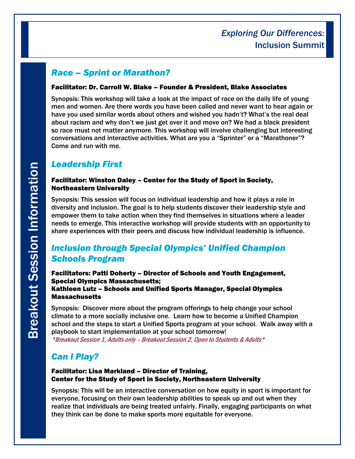### *Race – Sprint or Marathon?*

#### Facilitator: Dr. Carroll W. Blake *–* Founder & President, Blake Associates

Synopsis: This workshop will take a look at the impact of race on the daily life of young men and women. Are there words you have been called and never want to hear again or have you used similar words about others and wished you hadn't? What's the real deal about racism and why don't we just get over it and move on? We had a black president so race must not matter anymore. This workshop will involve challenging but interesting conversations and interactive activities. What are you a "Sprinter" or a "Marathoner"? Come and run with me.

### *Leadership First*

#### Facilitator: Winston Daley *–* Center for the Study of Sport in Society, Northeastern University

Synopsis: This session will focus on individual leadership and how it plays a role in diversity and inclusion. The goal is to help students discover their leadership style and empower them to take action when they find themselves in situations where a leader needs to emerge. This interactive workshop will provide students with an opportunity to share experiences with their peers and discuss how individual leadership is influence.

### *Inclusion through Special Olympics' Unified Champion Schools Program*

Facilitators: Patti Doherty *–* Director of Schools and Youth Engagement, Special Olympics Massachusetts; Kathleen Lutz *–* Schools and Unified Sports Manager, Special Olympics **Massachusetts** 

Synopsis: Discover more about the program offerings to help change your school climate to a more socially inclusive one. Learn how to become a Unified Champion school and the steps to start a Unified Sports program at your school. Walk away with a playbook to start implementation at your school tomorrow!

\*Breakout Session 1, Adults only – Breakout Session 2, Open to Students & Adults\*

### *Can I Play?*

### Facilitator: Lisa Markland *–* Director of Training, Center for the Study of Sport in Society, Northeastern University

Synopsis: This will be an interactive conversation on how equity in sport is important for everyone, focusing on their own leadership abilities to speak up and out when they realize that individuals are being treated unfairly. Finally, engaging participants on what they think can be done to make sports more equitable for everyone.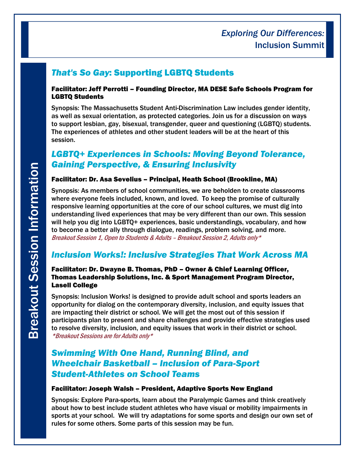### *That's So Gay*: Supporting LGBTQ Students

#### Facilitator: Jeff Perrotti – Founding Director, MA DESE Safe Schools Program for LGBTQ Students

Synopsis: The Massachusetts Student Anti-Discrimination Law includes gender identity, as well as sexual orientation, as protected categories. Join us for a discussion on ways to support lesbian, gay, bisexual, transgender, queer and questioning (LGBTQ) students. The experiences of athletes and other student leaders will be at the heart of this session.

### *LGBTQ+ Experiences in Schools: Moving Beyond Tolerance, Gaining Perspective, & Ensuring Inclusivity*

### Facilitator: Dr. Asa Sevelius – Principal, Heath School (Brookline, MA)

Synopsis: As members of school communities, we are beholden to create classrooms where everyone feels included, known, and loved. To keep the promise of culturally responsive learning opportunities at the core of our school cultures, we must dig into understanding lived experiences that may be very different than our own. This session will help you dig into LGBTQ+ experiences, basic understandings, vocabulary, and how to become a better ally through dialogue, readings, problem solving, and more. Breakout Session 1, Open to Students & Adults – Breakout Session 2, Adults only\*

### *Inclusion Works!: Inclusive Strategies That Work Across MA*

### Facilitator: Dr. Dwayne B. Thomas, PhD – Owner & Chief Learning Officer, Thomas Leadership Solutions, Inc. & Sport Management Program Director, Lasell College

Synopsis: Inclusion Works! is designed to provide adult school and sports leaders an opportunity for dialog on the contemporary diversity, inclusion, and equity issues that are impacting their district or school. We will get the most out of this session if participants plan to present and share challenges and provide effective strategies used to resolve diversity, inclusion, and equity issues that work in their district or school. \*Breakout Sessions are for Adults only\*

### *Swimming With One Hand, Running Blind, and Wheelchair Basketball – Inclusion of Para-Sport Student-Athletes on School Teams*

### Facilitator: Joseph Walsh – President, Adaptive Sports New England

Synopsis: Explore Para-sports, learn about the Paralympic Games and think creatively about how to best include student athletes who have visual or mobility impairments in sports at your school. We will try adaptations for some sports and design our own set of rules for some others. Some parts of this session may be fun.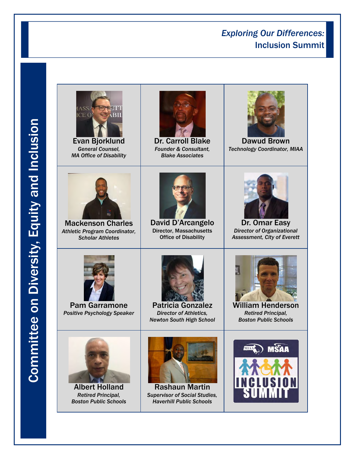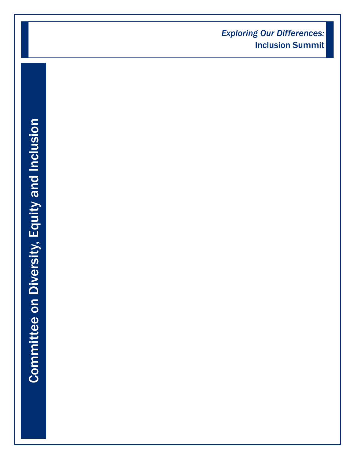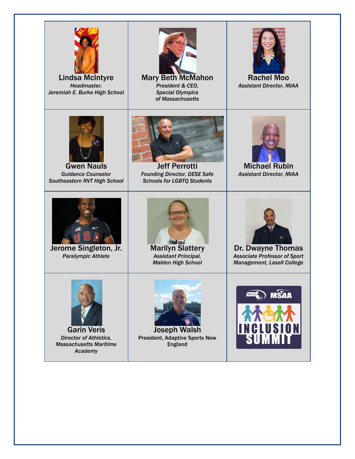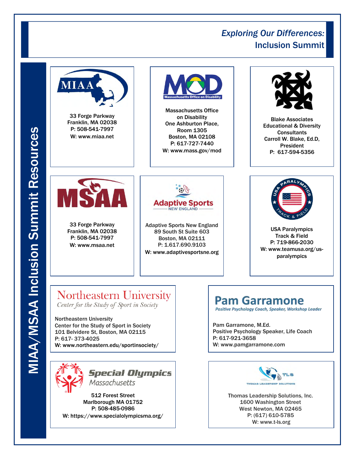

### **Northeastern University** Center for the Study of Sport in Society

Northeastern University Center for the Study of Sport in Society 101 Belvidere St, Boston, MA 02115 P: 617- 373-4025 W: www.northeastern.edu/sportinsociety/



512 Forest Street Marlborough MA 01752 P: 508-485-0986 W: https://www.specialolympicsma.org/ **Pam Garramone** 

Positive Psychology Coach, Speaker, Workshop Leader

Pam Garramone, M.Ed. Positive Psychology Speaker, Life Coach P: 617-921-3658 W: www.pamgarramone.com

 $\overline{a}$ 



Thomas Leadership Solutions, Inc. 1600 Washington Street West Newton, MA 02465 P: (617) 610-5785 W: www.t-ls.org

**VIIAA/MSAA Inclusion Summit Resources** MIAA/MSAA Inclusion Summit Resources **A** Inclusion Summit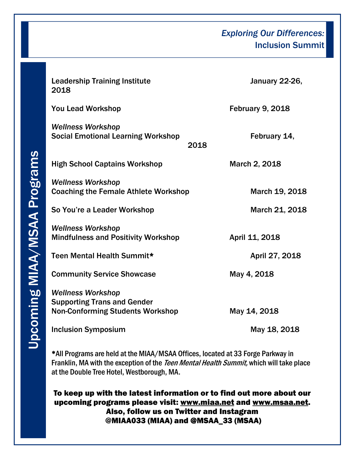| <b>Leadership Training Institute</b><br>2018                                                              |      | <b>January 22-26,</b>   |
|-----------------------------------------------------------------------------------------------------------|------|-------------------------|
| <b>You Lead Workshop</b>                                                                                  |      | <b>February 9, 2018</b> |
| <b>Wellness Workshop</b><br><b>Social Emotional Learning Workshop</b>                                     | 2018 | February 14,            |
| <b>High School Captains Workshop</b>                                                                      |      | March 2, 2018           |
| <b>Wellness Workshop</b><br><b>Coaching the Female Athlete Workshop</b>                                   |      | March 19, 2018          |
| So You're a Leader Workshop                                                                               |      | March 21, 2018          |
| <b>Wellness Workshop</b><br><b>Mindfulness and Positivity Workshop</b>                                    |      | April 11, 2018          |
| Teen Mental Health Summit*                                                                                |      | April 27, 2018          |
| <b>Community Service Showcase</b>                                                                         |      | May 4, 2018             |
| <b>Wellness Workshop</b><br><b>Supporting Trans and Gender</b><br><b>Non-Conforming Students Workshop</b> |      | May 14, 2018            |
| <b>Inclusion Symposium</b>                                                                                |      | May 18, 2018            |

\*All Programs are held at the MIAA/MSAA Offices, located at 33 Forge Parkway in Franklin, MA with the exception of the Teen Mental Health Summit, which will take place at the Double Tree Hotel, Westborough, MA.

To keep up with the latest information or to find out more about our upcoming programs please visit: www.miaa.net and www.msaa.net. Also, follow us on Twitter and Instagram @MIAA033 (MIAA) and @MSAA\_33 (MSAA)